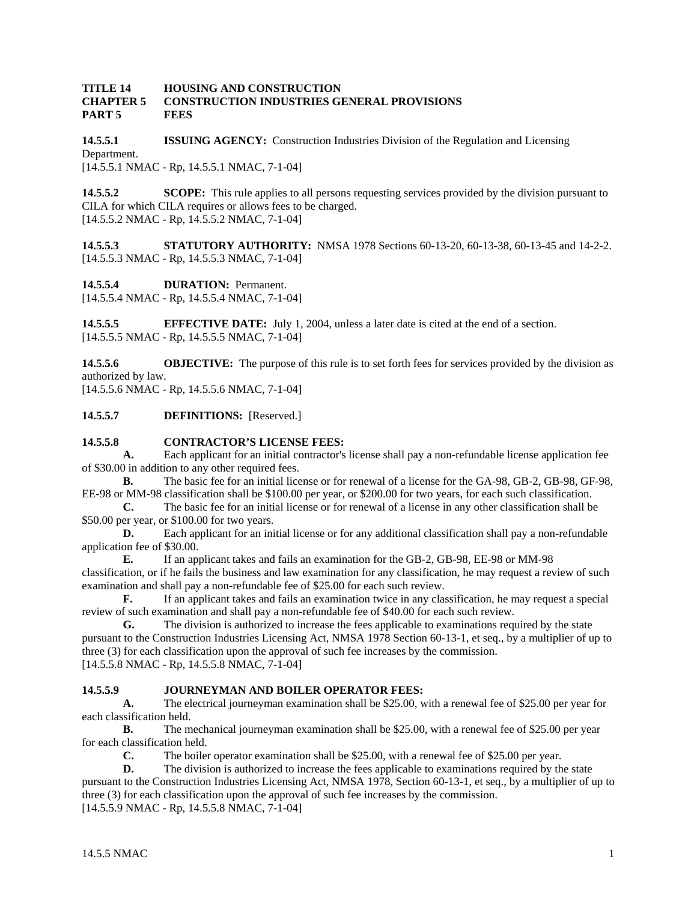#### **TITLE 14 HOUSING AND CONSTRUCTION CHAPTER 5 CONSTRUCTION INDUSTRIES GENERAL PROVISIONS PART 5 FEES**

**14.5.5.1 ISSUING AGENCY:** Construction Industries Division of the Regulation and Licensing Department. [14.5.5.1 NMAC - Rp, 14.5.5.1 NMAC, 7-1-04]

**14.5.5.2 SCOPE:** This rule applies to all persons requesting services provided by the division pursuant to CILA for which CILA requires or allows fees to be charged. [14.5.5.2 NMAC - Rp, 14.5.5.2 NMAC, 7-1-04]

**14.5.5.3 STATUTORY AUTHORITY:** NMSA 1978 Sections 60-13-20, 60-13-38, 60-13-45 and 14-2-2. [14.5.5.3 NMAC - Rp, 14.5.5.3 NMAC, 7-1-04]

**14.5.5.4 DURATION:** Permanent.

[14.5.5.4 NMAC - Rp, 14.5.5.4 NMAC, 7-1-04]

**14.5.5.5 EFFECTIVE DATE:** July 1, 2004, unless a later date is cited at the end of a section. [14.5.5.5 NMAC - Rp, 14.5.5.5 NMAC, 7-1-04]

**14.5.5.6 OBJECTIVE:** The purpose of this rule is to set forth fees for services provided by the division as authorized by law.

[14.5.5.6 NMAC - Rp, 14.5.5.6 NMAC, 7-1-04]

**14.5.5.7 DEFINITIONS:** [Reserved.]

## **14.5.5.8 CONTRACTOR'S LICENSE FEES:**

**A.** Each applicant for an initial contractor's license shall pay a non-refundable license application fee of \$30.00 in addition to any other required fees.

**B.** The basic fee for an initial license or for renewal of a license for the GA-98, GB-2, GB-98, GF-98, EE-98 or MM-98 classification shall be \$100.00 per year, or \$200.00 for two years, for each such classification.

**C.** The basic fee for an initial license or for renewal of a license in any other classification shall be \$50.00 per year, or \$100.00 for two years.

**D.** Each applicant for an initial license or for any additional classification shall pay a non-refundable application fee of \$30.00.

**E.** If an applicant takes and fails an examination for the GB-2, GB-98, EE-98 or MM-98 classification, or if he fails the business and law examination for any classification, he may request a review of such examination and shall pay a non-refundable fee of \$25.00 for each such review.

**F.** If an applicant takes and fails an examination twice in any classification, he may request a special review of such examination and shall pay a non-refundable fee of \$40.00 for each such review.

**G.** The division is authorized to increase the fees applicable to examinations required by the state pursuant to the Construction Industries Licensing Act, NMSA 1978 Section 60-13-1, et seq., by a multiplier of up to three (3) for each classification upon the approval of such fee increases by the commission. [14.5.5.8 NMAC - Rp, 14.5.5.8 NMAC, 7-1-04]

# **14.5.5.9 JOURNEYMAN AND BOILER OPERATOR FEES:**

**A.** The electrical journeyman examination shall be \$25.00, with a renewal fee of \$25.00 per year for each classification held.

**B.** The mechanical journeyman examination shall be \$25.00, with a renewal fee of \$25.00 per year for each classification held.

**C.** The boiler operator examination shall be \$25.00, with a renewal fee of \$25.00 per year.

**D.** The division is authorized to increase the fees applicable to examinations required by the state pursuant to the Construction Industries Licensing Act, NMSA 1978, Section 60-13-1, et seq., by a multiplier of up to three (3) for each classification upon the approval of such fee increases by the commission. [14.5.5.9 NMAC - Rp, 14.5.5.8 NMAC, 7-1-04]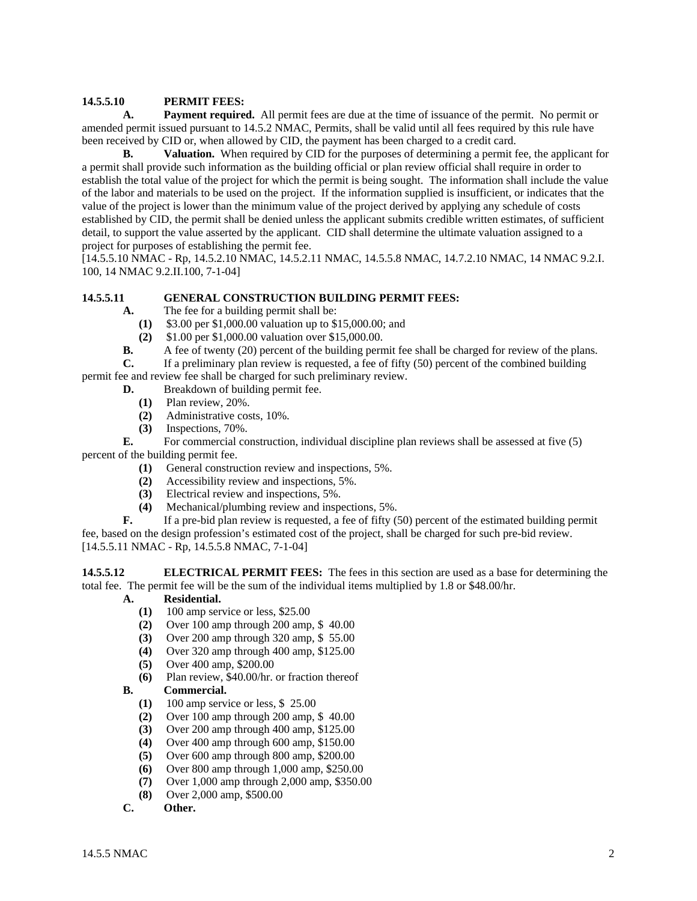### **14.5.5.10 PERMIT FEES:**

 **A. Payment required.** All permit fees are due at the time of issuance of the permit. No permit or amended permit issued pursuant to 14.5.2 NMAC, Permits, shall be valid until all fees required by this rule have been received by CID or, when allowed by CID, the payment has been charged to a credit card.

**B.** Valuation. When required by CID for the purposes of determining a permit fee, the applicant for a permit shall provide such information as the building official or plan review official shall require in order to establish the total value of the project for which the permit is being sought. The information shall include the value of the labor and materials to be used on the project. If the information supplied is insufficient, or indicates that the value of the project is lower than the minimum value of the project derived by applying any schedule of costs established by CID, the permit shall be denied unless the applicant submits credible written estimates, of sufficient detail, to support the value asserted by the applicant. CID shall determine the ultimate valuation assigned to a project for purposes of establishing the permit fee.

[14.5.5.10 NMAC - Rp, 14.5.2.10 NMAC, 14.5.2.11 NMAC, 14.5.5.8 NMAC, 14.7.2.10 NMAC, 14 NMAC 9.2.I. 100, 14 NMAC 9.2.II.100, 7-1-04]

### **14.5.5.11 GENERAL CONSTRUCTION BUILDING PERMIT FEES:**

- **A.** The fee for a building permit shall be:
	- **(1)** \$3.00 per \$1,000.00 valuation up to \$15,000.00; and
- **(2)** \$1.00 per \$1,000.00 valuation over \$15,000.00.<br>**B.** A fee of twenty (20) percent of the building perm
- **B.** A fee of twenty (20) percent of the building permit fee shall be charged for review of the plans.

**C.** If a preliminary plan review is requested, a fee of fifty (50) percent of the combined building

permit fee and review fee shall be charged for such preliminary review.

- **D.** Breakdown of building permit fee.
	- **(1)** Plan review, 20%.
	- **(2)** Administrative costs, 10%.
	- **(3)** Inspections, 70%.

**E.** For commercial construction, individual discipline plan reviews shall be assessed at five (5) percent of the building permit fee.

- **(1)** General construction review and inspections, 5%.
- **(2)** Accessibility review and inspections, 5%.
- **(3)** Electrical review and inspections, 5%.
- **(4)** Mechanical/plumbing review and inspections, 5%.

**F.** If a pre-bid plan review is requested, a fee of fifty (50) percent of the estimated building permit fee, based on the design profession's estimated cost of the project, shall be charged for such pre-bid review.

[14.5.5.11 NMAC - Rp, 14.5.5.8 NMAC, 7-1-04]

**14.5.5.12 ELECTRICAL PERMIT FEES:** The fees in this section are used as a base for determining the total fee. The permit fee will be the sum of the individual items multiplied by 1.8 or \$48.00/hr.

- **A. Residential.**
	- **(1)** 100 amp service or less, \$25.00
	- **(2)** Over 100 amp through 200 amp, \$ 40.00
	- **(3)** Over 200 amp through 320 amp, \$ 55.00
	- **(4)** Over 320 amp through 400 amp, \$125.00
	- **(5)** Over 400 amp, \$200.00
	- **(6)** Plan review, \$40.00/hr. or fraction thereof

### **B. Commercial.**

- **(1)** 100 amp service or less, \$ 25.00
- **(2)** Over 100 amp through 200 amp, \$ 40.00
- **(3)** Over 200 amp through 400 amp, \$125.00
- **(4)** Over 400 amp through 600 amp, \$150.00
- **(5)** Over 600 amp through 800 amp, \$200.00
- **(6)** Over 800 amp through 1,000 amp, \$250.00
- **(7)** Over 1,000 amp through 2,000 amp, \$350.00
- **(8)** Over 2,000 amp, \$500.00
- **C. Other.**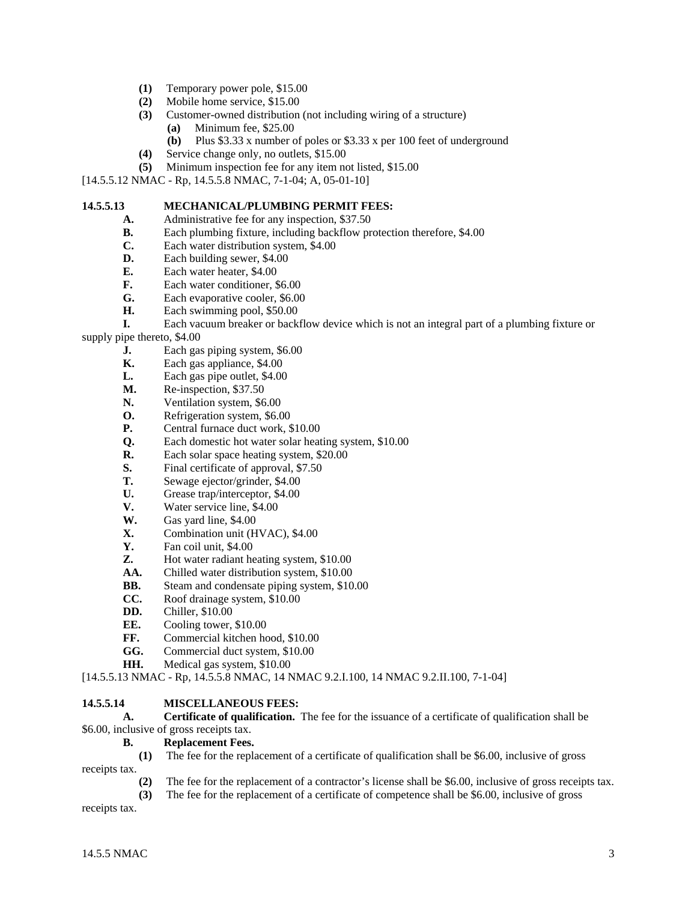- **(1)** Temporary power pole, \$15.00
- **(2)** Mobile home service, \$15.00
- **(3)** Customer-owned distribution (not including wiring of a structure)
	- **(a)** Minimum fee, \$25.00
	- **(b)** Plus \$3.33 x number of poles or \$3.33 x per 100 feet of underground
- 
- **(4)** Service change only, no outlets, \$15.00<br>**(5)** Minimum inspection fee for any item no **(5)** Minimum inspection fee for any item not listed, \$15.00

[14.5.5.12 NMAC - Rp, 14.5.5.8 NMAC, 7-1-04; A, 05-01-10]

#### **14.5.5.13 MECHANICAL/PLUMBING PERMIT FEES:**

**A.** Administrative fee for any inspection, \$37.50

- **B.** Each plumbing fixture, including backflow protection therefore, \$4.00
- **C.** Each water distribution system, \$4.00
- **D.** Each building sewer, \$4.00
- **E.** Each water heater, \$4.00
- **F.** Each water conditioner, \$6.00
- **G.** Each evaporative cooler, \$6.00
- **H.** Each swimming pool, \$50.00

**I.** Each vacuum breaker or backflow device which is not an integral part of a plumbing fixture or supply pipe thereto, \$4.00

- **J.** Each gas piping system, \$6.00
- **K.** Each gas appliance, \$4.00
- **L.** Each gas pipe outlet, \$4.00
- **M.** Re-inspection, \$37.50
- **N.** Ventilation system, \$6.00
- **O.** Refrigeration system, \$6.00
- **P.** Central furnace duct work, \$10.00
- **Q.** Each domestic hot water solar heating system, \$10.00
- **R.** Each solar space heating system, \$20.00
- **S.** Final certificate of approval, \$7.50
- **T.** Sewage ejector/grinder, \$4.00
- **U.** Grease trap/interceptor, \$4.00
- **V.** Water service line, \$4.00
- **W.** Gas yard line, \$4.00
- **X.** Combination unit (HVAC), \$4.00<br>**Y.** Fan coil unit, \$4.00
- **Y.** Fan coil unit, \$4.00
- **Z.** Hot water radiant heating system, \$10.00
- **AA.** Chilled water distribution system, \$10.00
- **BB.** Steam and condensate piping system, \$10.00
- **CC.** Roof drainage system, \$10.00
- **DD.** Chiller, \$10.00
- **EE.** Cooling tower, \$10.00
- FF. Commercial kitchen hood, \$10.00
- **GG.** Commercial duct system, \$10.00
- **HH.** Medical gas system, \$10.00

[14.5.5.13 NMAC - Rp, 14.5.5.8 NMAC, 14 NMAC 9.2.I.100, 14 NMAC 9.2.II.100, 7-1-04]

### **14.5.5.14 MISCELLANEOUS FEES:**

 **A. Certificate of qualification.** The fee for the issuance of a certificate of qualification shall be \$6.00, inclusive of gross receipts tax.

## **B. Replacement Fees.**

**(1)** The fee for the replacement of a certificate of qualification shall be \$6.00, inclusive of gross

receipts tax.<br>(2)

- The fee for the replacement of a contractor's license shall be \$6.00, inclusive of gross receipts tax.
- **(3)** The fee for the replacement of a certificate of competence shall be \$6.00, inclusive of gross

receipts tax.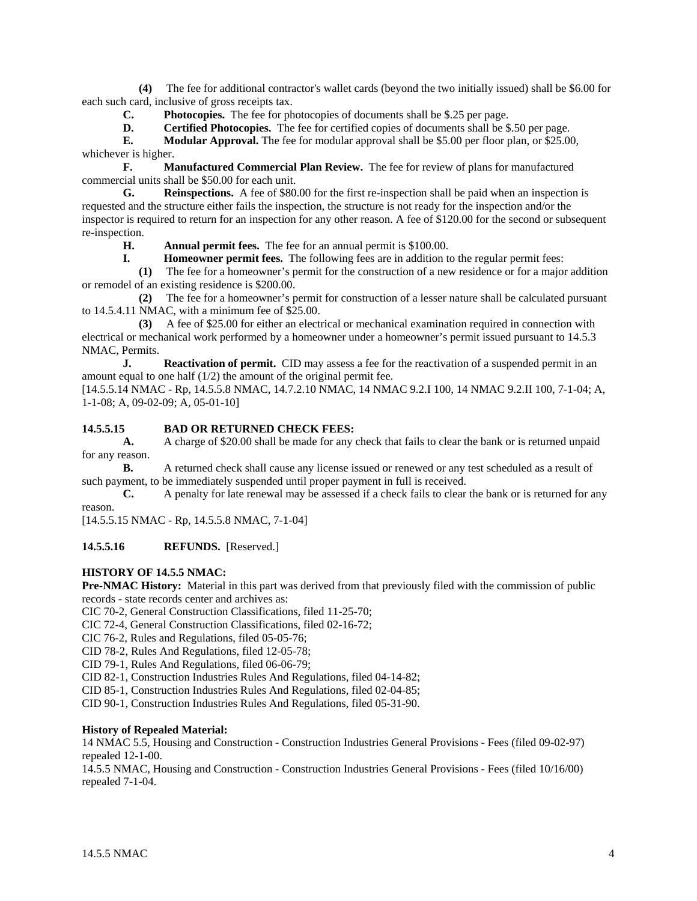**(4)** The fee for additional contractor's wallet cards (beyond the two initially issued) shall be \$6.00 for each such card, inclusive of gross receipts tax.

 **C. Photocopies.** The fee for photocopies of documents shall be \$.25 per page.

**D.** Certified Photocopies. The fee for certified copies of documents shall be \$.50 per page.

**E.** Modular Approval. The fee for modular approval shall be \$5.00 per floor plan, or \$25.00, whichever is higher.

 **F. Manufactured Commercial Plan Review.** The fee for review of plans for manufactured commercial units shall be \$50.00 for each unit.

 **G. Reinspections.** A fee of \$80.00 for the first re-inspection shall be paid when an inspection is requested and the structure either fails the inspection, the structure is not ready for the inspection and/or the inspector is required to return for an inspection for any other reason. A fee of \$120.00 for the second or subsequent re-inspection.

 **H. Annual permit fees.** The fee for an annual permit is \$100.00.

**I. Homeowner permit fees.** The following fees are in addition to the regular permit fees:

 **(1)** The fee for a homeowner's permit for the construction of a new residence or for a major addition or remodel of an existing residence is \$200.00.

 **(2)** The fee for a homeowner's permit for construction of a lesser nature shall be calculated pursuant to 14.5.4.11 NMAC, with a minimum fee of \$25.00.

 **(3)** A fee of \$25.00 for either an electrical or mechanical examination required in connection with electrical or mechanical work performed by a homeowner under a homeowner's permit issued pursuant to 14.5.3 NMAC, Permits.

**J.** Reactivation of permit. CID may assess a fee for the reactivation of a suspended permit in an amount equal to one half (1/2) the amount of the original permit fee.

[14.5.5.14 NMAC - Rp, 14.5.5.8 NMAC, 14.7.2.10 NMAC, 14 NMAC 9.2.I 100, 14 NMAC 9.2.II 100, 7-1-04; A, 1-1-08; A, 09-02-09; A, 05-01-10]

### **14.5.5.15 BAD OR RETURNED CHECK FEES:**

**A.** A charge of \$20.00 shall be made for any check that fails to clear the bank or is returned unpaid for any reason.

**B.** A returned check shall cause any license issued or renewed or any test scheduled as a result of such payment, to be immediately suspended until proper payment in full is received.

**C.** A penalty for late renewal may be assessed if a check fails to clear the bank or is returned for any reason.

[14.5.5.15 NMAC - Rp, 14.5.5.8 NMAC, 7-1-04]

**14.5.5.16 REFUNDS.** [Reserved.]

### **HISTORY OF 14.5.5 NMAC:**

**Pre-NMAC History:** Material in this part was derived from that previously filed with the commission of public records - state records center and archives as:

CIC 70-2, General Construction Classifications, filed 11-25-70;

CIC 72-4, General Construction Classifications, filed 02-16-72;

CIC 76-2, Rules and Regulations, filed 05-05-76;

CID 78-2, Rules And Regulations, filed 12-05-78;

CID 79-1, Rules And Regulations, filed 06-06-79;

CID 82-1, Construction Industries Rules And Regulations, filed 04-14-82;

CID 85-1, Construction Industries Rules And Regulations, filed 02-04-85;

CID 90-1, Construction Industries Rules And Regulations, filed 05-31-90.

#### **History of Repealed Material:**

14 NMAC 5.5, Housing and Construction - Construction Industries General Provisions - Fees (filed 09-02-97) repealed 12-1-00.

14.5.5 NMAC, Housing and Construction - Construction Industries General Provisions - Fees (filed 10/16/00) repealed 7-1-04.